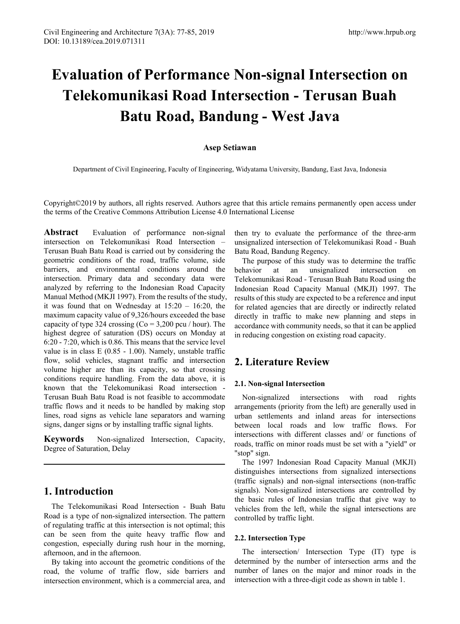# **Evaluation of Performance Non-signal Intersection on Telekomunikasi Road Intersection - Terusan Buah Batu Road, Bandung - West Java**

## **Asep Setiawan**

Department of Civil Engineering, Faculty of Engineering, Widyatama University, Bandung, East Java, Indonesia

Copyright©2019 by authors, all rights reserved. Authors agree that this article remains permanently open access under the terms of the Creative Commons Attribution License 4.0 International License

**Abstract** Evaluation of performance non-signal intersection on Telekomunikasi Road Intersection – Terusan Buah Batu Road is carried out by considering the geometric conditions of the road, traffic volume, side barriers, and environmental conditions around the intersection. Primary data and secondary data were analyzed by referring to the Indonesian Road Capacity Manual Method (MKJI 1997). From the results of the study, it was found that on Wednesday at  $15:20 - 16:20$ , the maximum capacity value of 9,326/hours exceeded the base capacity of type 324 crossing  $(Co = 3.200$  pcu / hour). The highest degree of saturation (DS) occurs on Monday at 6:20 - 7:20, which is 0.86. This means that the service level value is in class E (0.85 - 1.00). Namely, unstable traffic flow, solid vehicles, stagnant traffic and intersection volume higher are than its capacity, so that crossing conditions require handling. From the data above, it is known that the Telekomunikasi Road intersection - Terusan Buah Batu Road is not feasible to accommodate traffic flows and it needs to be handled by making stop lines, road signs as vehicle lane separators and warning signs, danger signs or by installing traffic signal lights.

**Keywords** Non-signalized Intersection, Capacity, Degree of Saturation, Delay

# **1. Introduction**

The Telekomunikasi Road Intersection - Buah Batu Road is a type of non-signalized intersection. The pattern of regulating traffic at this intersection is not optimal; this can be seen from the quite heavy traffic flow and congestion, especially during rush hour in the morning, afternoon, and in the afternoon.

By taking into account the geometric conditions of the road, the volume of traffic flow, side barriers and intersection environment, which is a commercial area, and

then try to evaluate the performance of the three-arm unsignalized intersection of Telekomunikasi Road - Buah Batu Road, Bandung Regency.

The purpose of this study was to determine the traffic behavior at an unsignalized intersection on Telekomunikasi Road - Terusan Buah Batu Road using the Indonesian Road Capacity Manual (MKJI) 1997. The results of this study are expected to be a reference and input for related agencies that are directly or indirectly related directly in traffic to make new planning and steps in accordance with community needs, so that it can be applied in reducing congestion on existing road capacity.

# **2. Literature Review**

### **2.1. Non-signal Intersection**

Non-signalized intersections with road rights arrangements (priority from the left) are generally used in urban settlements and inland areas for intersections between local roads and low traffic flows. For intersections with different classes and/ or functions of roads, traffic on minor roads must be set with a "yield" or "stop" sign.

The 1997 Indonesian Road Capacity Manual (MKJI) distinguishes intersections from signalized intersections (traffic signals) and non-signal intersections (non-traffic signals). Non-signalized intersections are controlled by the basic rules of Indonesian traffic that give way to vehicles from the left, while the signal intersections are controlled by traffic light.

## **2.2. Intersection Type**

The intersection/ Intersection Type (IT) type is determined by the number of intersection arms and the number of lanes on the major and minor roads in the intersection with a three-digit code as shown in table 1.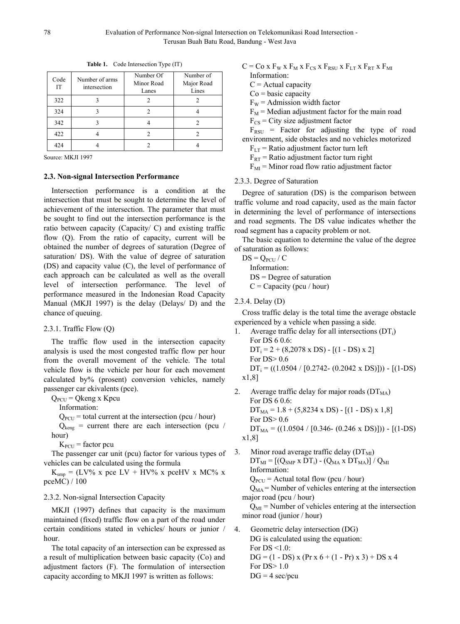| Code<br>IT | Number of arms<br>intersection | Number Of<br>Minor Road<br>Lanes | Number of<br>Major Road<br>Lines |  |
|------------|--------------------------------|----------------------------------|----------------------------------|--|
| 322        |                                |                                  |                                  |  |
| 324        |                                |                                  |                                  |  |
| 342        |                                |                                  |                                  |  |
| 422        |                                |                                  |                                  |  |
| 424        |                                |                                  |                                  |  |

**Table 1.** Code Intersection Type (IT)

Source: MKJI 1997

#### **2.3. Non-signal Intersection Performance**

Intersection performance is a condition at the intersection that must be sought to determine the level of achievement of the intersection. The parameter that must be sought to find out the intersection performance is the ratio between capacity (Capacity/ C) and existing traffic flow (Q). From the ratio of capacity, current will be obtained the number of degrees of saturation (Degree of saturation/ DS). With the value of degree of saturation (DS) and capacity value (C), the level of performance of each approach can be calculated as well as the overall level of intersection performance. The level of performance measured in the Indonesian Road Capacity Manual (MKJI 1997) is the delay (Delays/ D) and the chance of queuing.

2.3.1. Traffic Flow (Q)

The traffic flow used in the intersection capacity analysis is used the most congested traffic flow per hour from the overall movement of the vehicle. The total vehicle flow is the vehicle per hour for each movement calculated by% (prosent) conversion vehicles, namely passenger car ekivalents (pce).

 $Q_{PCU}$  = Qkeng x Kpcu

Information:

 $Q<sub>PCU</sub>$  = total current at the intersection (pcu / hour)

 $Q_{\text{keng}}$  = current there are each intersection (pcu / hour)

 $K<sub>PCU</sub>$  = factor pcu

The passenger car unit (pcu) factor for various types of vehicles can be calculated using the formula

 $K<sub>smn</sub> = (LV% x pec LV + HV% x pecHV x MC% x$ pceMC) / 100

## 2.3.2. Non-signal Intersection Capacity

MKJI (1997) defines that capacity is the maximum maintained (fixed) traffic flow on a part of the road under certain conditions stated in vehicles/ hours or junior / hour.

The total capacity of an intersection can be expressed as a result of multiplication between basic capacity (Co) and adjustment factors (F). The formulation of intersection capacity according to MKJI 1997 is written as follows:

$$
C = \text{Co} \times \text{F}_{\text{W}} \times \text{F}_{\text{M}} \times \text{F}_{\text{CS}} \times \text{F}_{\text{RSU}} \times \text{F}_{\text{LT}} \times \text{F}_{\text{RT}} \times \text{F}_{\text{MI}}
$$

Information:

- $C =$  Actual capacity
- $Co = basic$  capacity
- $F_W =$  Admission width factor
- $F_M$  = Median adjustment factor for the main road
- $F_{CS}$  = City size adjustment factor

 $F_{RSU}$  = Factor for adjusting the type of road environment, side obstacles and no vehicles motorized

- $F_{LT}$  = Ratio adjustment factor turn left
- $F_{RT}$  = Ratio adjustment factor turn right
- $F<sub>MI</sub>$  = Minor road flow ratio adjustment factor

#### 2.3.3. Degree of Saturation

Degree of saturation (DS) is the comparison between traffic volume and road capacity, used as the main factor in determining the level of performance of intersections and road segments. The DS value indicates whether the road segment has a capacity problem or not.

The basic equation to determine the value of the degree of saturation as follows:

 $DS = O<sub>PCLI</sub> / C$ Information: DS = Degree of saturation  $C =$ Capacity (pcu / hour)

2.3.4. Delay (D)

Cross traffic delay is the total time the average obstacle experienced by a vehicle when passing a side.

- 1. Average traffic delay for all intersections  $(DT_i)$ For DS 6 0.6:  $DT_i = 2 + (8,2078 \times DS) - [(1 - DS) \times 2]$ For DS> 0.6  $DT_i = ((1.0504 / [0.2742 - (0.2042 \times DS)])) - [(1-DS)]$ x1,8]
- 2. Average traffic delay for major roads  $(DT<sub>MA</sub>)$ For DS 6 0.6:  $DT_{MA} = 1.8 + (5,8234 \times DS) - [(1 - DS) \times 1,8]$ For DS> 0.6  $DT_{MA}$  = ((1.0504 / [0.346- (0.246 x DS)])) - [(1-DS) x1,8]
- 3. Minor road average traffic delay  $(DT<sub>MI</sub>)$  $DT_{MI} = [(Q_{SMP} \times DT_i) - (Q_{MA} \times DT_{MA})] / Q_{MI}$ Information:  $Q_{PCU}$  = Actual total flow (pcu / hour)

 $Q_{MA}$  = Number of vehicles entering at the intersection major road (pcu / hour)

 $Q<sub>MI</sub>$  = Number of vehicles entering at the intersection minor road (junior / hour)

4. Geometric delay intersection (DG) DG is calculated using the equation: For  $DS \leq 1.0$ :  $DG = (1 - DS) x (Pr x 6 + (1 - Pr) x 3) + DS x 4$ For DS> 1.0  $DG = 4$  sec/pcu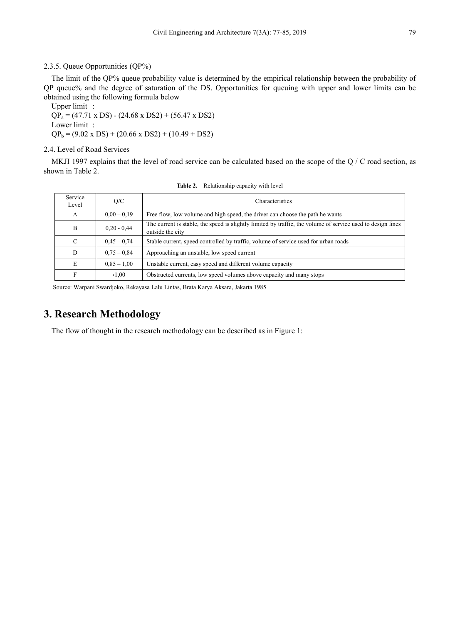## 2.3.5. Queue Opportunities (QP%)

The limit of the QP% queue probability value is determined by the empirical relationship between the probability of QP queue% and the degree of saturation of the DS. Opportunities for queuing with upper and lower limits can be obtained using the following formula below

Upper limit :  $QP_a = (47.71 \times DS) - (24.68 \times DS2) + (56.47 \times DS2)$ Lower limit :  $QP_b = (9.02 \times DS) + (20.66 \times DS2) + (10.49 + DS2)$ 

## 2.4. Level of Road Services

MKJI 1997 explains that the level of road service can be calculated based on the scope of the  $Q / C$  road section, as shown in Table 2.

| Service<br>Level | O/C           | Characteristics                                                                                                                 |
|------------------|---------------|---------------------------------------------------------------------------------------------------------------------------------|
| А                | $0.00 - 0.19$ | Free flow, low volume and high speed, the driver can choose the path he wants                                                   |
| B                | $0.20 - 0.44$ | The current is stable, the speed is slightly limited by traffic, the volume of service used to design lines<br>outside the city |
| C                | $0.45 - 0.74$ | Stable current, speed controlled by traffic, volume of service used for urban roads                                             |
| D                | $0.75 - 0.84$ | Approaching an unstable, low speed current                                                                                      |
| E                | $0.85 - 1.00$ | Unstable current, easy speed and different volume capacity                                                                      |
| F                | >1.00         | Obstructed currents, low speed volumes above capacity and many stops                                                            |

**Table 2.** Relationship capacity with level

Source: Warpani Swardjoko, Rekayasa Lalu Lintas, Brata Karya Aksara, Jakarta 1985

# **3. Research Methodology**

The flow of thought in the research methodology can be described as in Figure 1: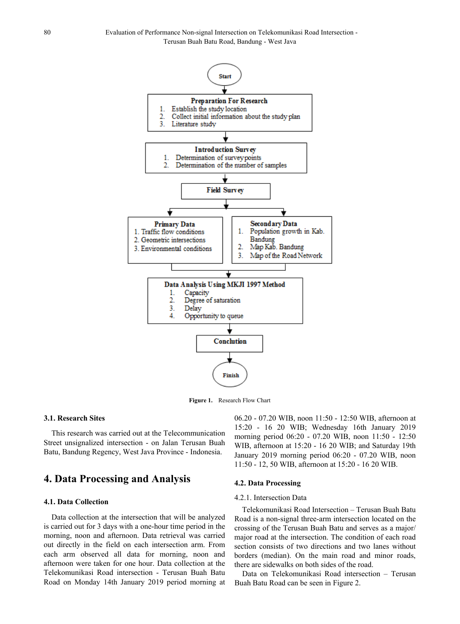

**Figure 1.** Research Flow Chart

# **3.1. Research Sites**

This research was carried out at the Telecommunication Street unsignalized intersection - on Jalan Terusan Buah Batu, Bandung Regency, West Java Province - Indonesia.

# **4. Data Processing and Analysis**

## **4.1. Data Collection**

Data collection at the intersection that will be analyzed is carried out for 3 days with a one-hour time period in the morning, noon and afternoon. Data retrieval was carried out directly in the field on each intersection arm. From each arm observed all data for morning, noon and afternoon were taken for one hour. Data collection at the Telekomunikasi Road intersection - Terusan Buah Batu Road on Monday 14th January 2019 period morning at 06.20 - 07.20 WIB, noon 11:50 - 12:50 WIB, afternoon at 15:20 - 16 20 WIB; Wednesday 16th January 2019 morning period 06:20 - 07.20 WIB, noon 11:50 - 12:50 WIB, afternoon at 15:20 - 16 20 WIB; and Saturday 19th January 2019 morning period 06:20 - 07.20 WIB, noon 11:50 - 12, 50 WIB, afternoon at 15:20 - 16 20 WIB.

## **4.2. Data Processing**

#### 4.2.1. Intersection Data

Telekomunikasi Road Intersection – Terusan Buah Batu Road is a non-signal three-arm intersection located on the crossing of the Terusan Buah Batu and serves as a major/ major road at the intersection. The condition of each road section consists of two directions and two lanes without borders (median). On the main road and minor roads, there are sidewalks on both sides of the road.

Data on Telekomunikasi Road intersection – Terusan Buah Batu Road can be seen in Figure 2.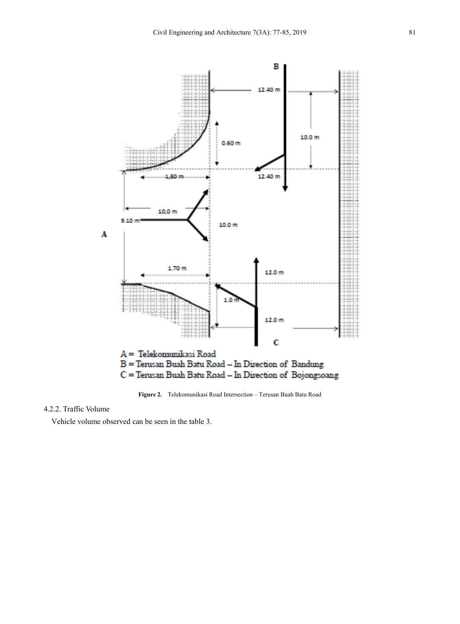

**Figure 2.** Telekomunikasi Road Intersection – Terusan Buah Batu Road

# 4.2.2. Traffic Volume

Vehicle volume observed can be seen in the table 3.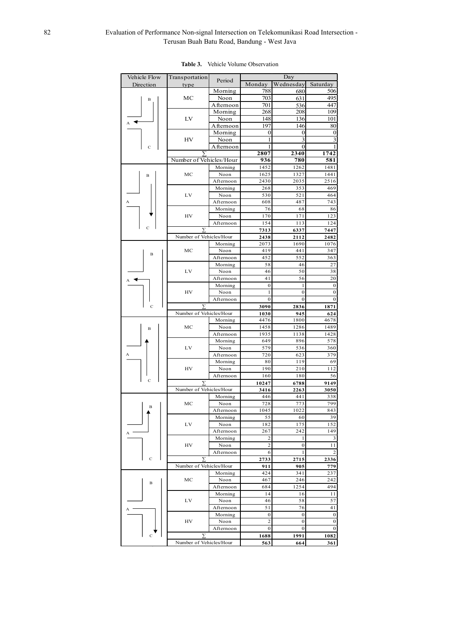# 82 Evaluation of Performance Non-signal Intersection on Telekomunikasi Road Intersection - Terusan Buah Batu Road, Bandung - West Java

| Vehicle Flow   | Transportation          |                       | $\overline{D}$ ay     |                                  |                              |
|----------------|-------------------------|-----------------------|-----------------------|----------------------------------|------------------------------|
| Direction      | type                    | Period                | Monday                | Wednesday                        | Saturday                     |
|                |                         | Moming                | 788                   | 680                              | 506                          |
| B              | MC                      | Noon                  | 703                   | 631                              | 495                          |
|                |                         | Afternoon             | 701                   | 536                              | 447                          |
|                | LV                      | Morning               | 268                   | 208                              | 109                          |
|                |                         | Noon                  | 148<br>197            | 136                              | 101                          |
|                |                         | A fternoon<br>Morning | $\bf{0}$              | 146<br>$\boldsymbol{0}$          | 80<br>$\boldsymbol{0}$       |
|                | HV                      | Noon                  | 1                     | 3                                | 3                            |
| Ċ              |                         | Afternoon             | 1                     | $\boldsymbol{0}$                 |                              |
|                |                         |                       | 2807                  | 2340                             | 1742                         |
|                | Number of Vehicles/Hour |                       | 936                   | 780                              | 581                          |
|                |                         | Morning               | 1452                  | 1262                             | 1481                         |
| $\mathbf B$    | MC                      | Noon                  | 1625                  | 1327                             | 1441                         |
|                |                         | Afternoon             | 2430                  | 2035                             | 2516                         |
|                |                         | Morning               | 268                   | 353                              | 469                          |
| A              | LV                      | Noon                  | 530                   | 521                              | 464                          |
|                |                         | Afternoon             | 608<br>76             | 487<br>68                        | 743<br>86                    |
|                | HV                      | Morning<br>Noon       | 170                   | 171                              | 123                          |
|                |                         | Afternoon             | 154                   | 113                              | 124                          |
|                |                         |                       | 7313                  | 6337                             | 7447                         |
|                | Number of Vehicles/Hour |                       | 2438                  | 2112                             | 2482                         |
|                |                         | Morning               | 2073                  | 1690                             | 1076                         |
| B              | MC                      | Noon                  | 419                   | 441                              | 347                          |
|                |                         | Afternoon             | 452                   | 552                              | 363                          |
|                |                         | Morning               | 58                    | 46                               | 27                           |
|                | LV                      | Noon                  | 46                    | 50                               | 38                           |
|                |                         | Afternoon             | 41                    | 56                               | 20                           |
|                | HV                      | Morning<br>Noon       | $\boldsymbol{0}$<br>1 | $\mathbf{1}$<br>$\boldsymbol{0}$ | $\bf{0}$<br>$\boldsymbol{0}$ |
|                |                         | Afternoon             | $\boldsymbol{0}$      | $\boldsymbol{0}$                 | $\boldsymbol{0}$             |
| $\overline{c}$ |                         |                       | 3090                  | 2836                             | 1871                         |
|                | Number of Vehicles/Hour |                       | 1030                  | 945                              | 624                          |
|                | MC                      | Morning               | 4476                  | 1800                             | 4678                         |
| в              |                         | Noon                  | 1458                  | 1286                             | 1489                         |
|                |                         | Afternoon             | 1935                  | 1138                             | 1428                         |
|                |                         | Morning               | 649                   | 896                              | 578                          |
|                | LV                      | Noon                  | 579                   | 536                              | 360                          |
|                |                         | Afternoon             | 720<br>80             | 623<br>119                       | 379<br>69                    |
|                | HV                      | Morning<br>Noon       | 190                   | 210                              | 112                          |
|                |                         | Afternoon             | 160                   | 180                              | 56                           |
| Ċ              |                         |                       | 10247                 | 6788                             | 9149                         |
|                | Number of Vehicles/Hour |                       | 3416                  | 2263                             | 3050                         |
|                |                         | Morning               | 446                   | 441                              | 338                          |
| B              | MC                      | Noon                  | 728                   | 773                              | 799                          |
|                |                         | Afternoon             | 1045                  | 1022                             | 843                          |
|                |                         | Morning               | 55                    | 60                               | 39                           |
|                | LV                      | Noon<br>Afternoon     | 182<br>267            | 175<br>242                       | 152<br>149                   |
|                |                         | Morning               | 2                     | 1                                | 3                            |
|                | HV                      | Noon                  | $\overline{c}$        | $\boldsymbol{0}$                 | 11                           |
|                |                         | Afternoon             | 6                     | 1                                | 2                            |
| C              |                         |                       | 2733                  | 2715                             | 2336                         |
|                | Number of Vehicles/Hour |                       | 911                   | 905                              | 779                          |
|                | MC                      | Morning               | 424                   | 341                              | 237                          |
| в              |                         | Noon                  | 467                   | 246                              | 242                          |
|                |                         | Afternoon             | 684                   | 1254                             | 494                          |
|                | LV                      | Morning               | 14                    | 16                               | 11                           |
|                |                         | Noon<br>Afternoon     | 46<br>51              | 58<br>76                         | 57<br>41                     |
|                |                         | Morning               | $\mathbf{0}$          | $\bf{0}$                         | $\bf{0}$                     |
|                | HV                      | Noon                  | $\overline{c}$        | 0                                | $\boldsymbol{0}$             |
|                |                         | Afternoon             | $\boldsymbol{0}$      | $\boldsymbol{0}$                 | $\boldsymbol{0}$             |
| C              | Σ                       |                       | 1688                  | 1991                             | 1082                         |
|                | Number of Vehicles/Hour |                       | 563                   | 664                              | 361                          |

#### **Table 3.** Vehicle Volume Observation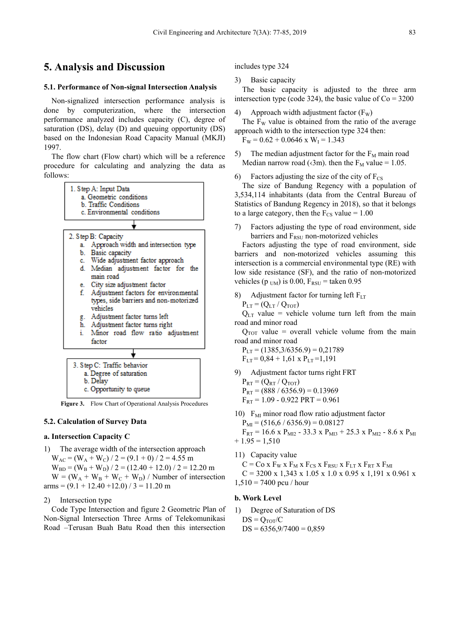# **5. Analysis and Discussion**

#### **5.1. Performance of Non-signal Intersection Analysis**

Non-signalized intersection performance analysis is done by computerization, where the intersection performance analyzed includes capacity (C), degree of saturation (DS), delay (D) and queuing opportunity (DS) based on the Indonesian Road Capacity Manual (MKJI) 1997.

The flow chart (Flow chart) which will be a reference procedure for calculating and analyzing the data as follows:



**Figure 3.** Flow Chart of Operational Analysis Procedures

#### **5.2. Calculation of Survey Data**

### **a. Intersection Capacity C**

1) The average width of the intersection approach  $W_{AC} = (W_A + W_C)/2 = (9.1 + 0)/2 = 4.55$  m  $W_{BD} = (W_B + W_D) / 2 = (12.40 + 12.0) / 2 = 12.20$  m  $W = (W_A + W_B + W_C + W_D) /$  Number of intersection  $arms = (9.1 + 12.40 + 12.0) / 3 = 11.20 m$ 

## 2) Intersection type

Code Type Intersection and figure 2 Geometric Plan of Non-Signal Intersection Three Arms of Telekomunikasi Road –Terusan Buah Batu Road then this intersection

includes type 324

3) Basic capacity

The basic capacity is adjusted to the three arm intersection type (code 324), the basic value of  $Co = 3200$ 

- 4) Approach width adjustment factor  $(F_W)$
- The  $F_W$  value is obtained from the ratio of the average approach width to the intersection type 324 then:
	- $F_W = 0.62 + 0.0646$  x  $W_I = 1.343$
- 5) The median adjustment factor for the  $F_M$  main road Median narrow road ( $\langle 3m \rangle$ ). then the F<sub>M</sub> value = 1.05.
- 6) Factors adjusting the size of the city of  $F_{CS}$

The size of Bandung Regency with a population of 3,534,114 inhabitants (data from the Central Bureau of Statistics of Bandung Regency in 2018), so that it belongs to a large category, then the  $F_{CS}$  value = 1.00

7) Factors adjusting the type of road environment, side barriers and  $F_{RSU}$  non-motorized vehicles

Factors adjusting the type of road environment, side barriers and non-motorized vehicles assuming this intersection is a commercial environmental type (RE) with low side resistance (SF), and the ratio of non-motorized vehicles (p  $_{UM}$ ) is 0.00,  $F_{RSU}$  = taken 0.95

8) Adjustment factor for turning left  $F_{LT}$ 

 $P_{LT} = (Q_{LT} / Q_{TOT})$ 

 $Q<sub>LT</sub>$  value = vehicle volume turn left from the main road and minor road

 $Q_{TOT}$  value = overall vehicle volume from the main road and minor road

 $P_{LT}$  = (1385,3/6356.9) = 0,21789

 $F_{LT} = 0.84 + 1.61 \times P_{LT} = 1.191$ 

9) Adjustment factor turns right FRT

 $P_{RT} = (Q_{RT} / Q_{TOT})$  $P_{RT}$  = (888 / 6356.9) = 0.13969  $F_{RT}$  = 1.09 - 0.922 PRT = 0.961

10)  $F<sub>MI</sub>$  minor road flow ratio adjustment factor  $P_{MI} = (516, 6 / 6356.9) = 0.08127$  $F_{RT}$  = 16.6 x P<sub>MI2</sub> - 33.3 x P<sub>MI3</sub> + 25.3 x P<sub>MI2</sub> - 8.6 x P<sub>MI</sub>  $+1.95 = 1,510$ 

11) Capacity value

 $C = Co \times F_W \times F_M \times F_{CS} \times F_{RSU} \times F_{LT} \times F_{RT} \times F_{MI}$ 

 $C = 3200 \text{ x } 1,343 \text{ x } 1.05 \text{ x } 1.0 \text{ x } 0.95 \text{ x } 1,191 \text{ x } 0.961 \text{ x}$ 

 $1,510 = 7400$  pcu / hour

#### **b. Work Level**

1) Degree of Saturation of DS  $DS = Q_{TOT}/C$  $DS = 6356, 9/7400 = 0,859$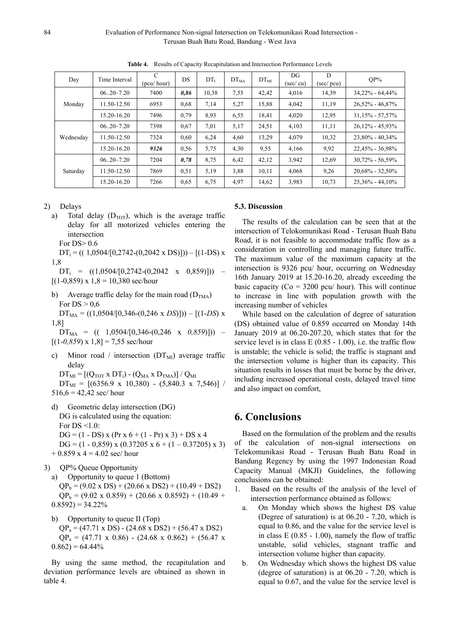84 Evaluation of Performance Non-signal Intersection on Telekomunikasi Road Intersection - Terusan Buah Batu Road, Bandung - West Java

| Day       | Time Interval  | $\mathcal{C}$<br>(pcu/hour) | DS   | DT <sub>1</sub> | $DT_{MA}$ | $DT_{MI}$ | DG<br>$(\sec/cu)$ | D<br>$(\text{sec}/\text{pcu})$ | $OP\%$              |
|-----------|----------------|-----------------------------|------|-----------------|-----------|-----------|-------------------|--------------------------------|---------------------|
| Monday    | $06.20 - 7.20$ | 7400                        | 0,86 | 10,38           | 7.55      | 42,42     | 4,016             | 14,39                          | $34,22\% - 64,44\%$ |
|           | 11.50-12.50    | 6953                        | 0.68 | 7,14            | 5,27      | 15,88     | 4,042             | 11,19                          | $26,52\% - 46,87\%$ |
|           | 15.20-16.20    | 7496                        | 0.79 | 8.93            | 6,55      | 18,41     | 4,020             | 12,95                          | $31,15\% - 57,57\%$ |
| Wednesday | $06.20 - 7.20$ | 7398                        | 0.67 | 7.01            | 5,17      | 24,51     | 4,103             | 11,11                          | $26,12\% - 45,93\%$ |
|           | 11.50-12.50    | 7324                        | 0,60 | 6,24            | 4,60      | 13,29     | 4,079             | 10,32                          | $23,80\% - 40,34\%$ |
|           | 15.20-16.20    | 9326                        | 0.56 | 5,75            | 4,30      | 9,55      | 4,166             | 9,92                           | 22,45% - 36,98%     |
| Saturday  | $06.20 - 7.20$ | 7204                        | 0,78 | 8,75            | 6,42      | 42,12     | 3,942             | 12,69                          | $30,72\% - 56,59\%$ |
|           | 11.50-12.50    | 7869                        | 0.51 | 5,19            | 3,88      | 10,11     | 4,068             | 9,26                           | $20,68\% - 32,50\%$ |
|           | 15.20-16.20    | 7266                        | 0.65 | 6,75            | 4,97      | 14,62     | 3,983             | 10,73                          | $25.36\% - 44.10\%$ |

**Table 4.** Results of Capacity Recapitulation and Intersection Performance Levels

- 2) Delays
	- a) Total delay  $(D_{TOT})$ , which is the average traffic delay for all motorized vehicles entering the intersection

For DS> 0.6

 $DT_i = ((1,0504/[0,2742-(0,2042 \times DS)]) - [(1-DS)x$ 1,8

 $DT_i$  =  $((1,0504/[0,2742-(0,2042 \times 0,859)]))$  –  $[(1-0.859) \times 1.8 = 10,380 \text{ sec/hour}]$ 

b) Average traffic delay for the main road  $(D_{TMA})$ For  $DS > 0.6$ 

 $DT_{MA}$  = ((1,0504/[0,346-(0,246 x *DS*)])) – [(1-*DS*) x 1,8]

 $DT_{MA}$  = (( 1,0504/[0,346-(0,246 x 0,859)])) –  $[(1-0.859) \times 1, 8] = 7,55$  sec/hour

c) Minor road / intersection  $(DT<sub>MI</sub>)$  average traffic delay

 $DT_{MI} = \left[\left(Q_{TOT}\;x\;DT_{i}\right) - \left(Q_{MA}\;x\;D_{TMA}\right)\right]/\;Q_{MI}$  $DT_{MI} = [(6356.9 \times 10,380) - (5,840.3 \times 7,546)]$  $516,6 = 42,42$  sec/hour

- d) Geometric delay intersection (DG) DG is calculated using the equation: For  $DS < 1.0$ :  $DG = (1 - DS) x (Pr x 6 + (1 - Pr) x 3) + DS x 4$ DG =  $(1 - 0.859)$  x  $(0.37205$  x  $6 + (1 - 0.37205)$  x 3)  $+ 0.859$  x 4 = 4.02 sec/ hour
- 3) QP% Queue Opportunity
	- a) Opportunity to queue 1 (Bottom)  $QP_b = (9.02 \times DS) + (20.66 \times DS2) + (10.49 + DS2)$  $QP_b = (9.02 \times 0.859) + (20.66 \times 0.8592) + (10.49 +$  $0.8592 = 34.22\%$
	- b) Opportunity to queue II (Top)  $QP_a = (47.71 \times DS) - (24.68 \times DS2) + (56.47 \times DS2)$  $QP_a = (47.71 \times 0.86) - (24.68 \times 0.862) + (56.47 \times 1)$  $0.862$ ) = 64.44%

By using the same method, the recapitulation and deviation performance levels are obtained as shown in table 4.

# **5.3. Discussion**

The results of the calculation can be seen that at the intersection of Telokomunikasi Road - Terusan Buah Batu Road, it is not feasible to accommodate traffic flow as a consideration in controlling and managing future traffic. The maximum value of the maximum capacity at the intersection is 9326 pcu/ hour, occurring on Wednesday 16th January 2019 at 15.20-16.20, already exceeding the basic capacity ( $Co = 3200$  pcu/ hour). This will continue to increase in line with population growth with the increasing number of vehicles

While based on the calculation of degree of saturation (DS) obtained value of 0.859 occurred on Monday 14th January 2019 at 06.20-207.20, which states that for the service level is in class  $E(0.85 - 1.00)$ , i.e. the traffic flow is unstable; the vehicle is solid; the traffic is stagnant and the intersection volume is higher than its capacity. This situation results in losses that must be borne by the driver, including increased operational costs, delayed travel time and also impact on comfort,

# **6. Conclusions**

Based on the formulation of the problem and the results of the calculation of non-signal intersections on Telekomunikasi Road - Terusan Buah Batu Road in Bandung Regency by using the 1997 Indonesian Road Capacity Manual (MKJI) Guidelines, the following conclusions can be obtained:

- 1. Based on the results of the analysis of the level of intersection performance obtained as follows:
	- a. On Monday which shows the highest DS value (Degree of saturation) is at 06.20 - 7.20, which is equal to 0.86, and the value for the service level is in class  $E(0.85 - 1.00)$ , namely the flow of traffic unstable, solid vehicles, stagnant traffic and intersection volume higher than capacity.
	- b. On Wednesday which shows the highest DS value (degree of saturation) is at 06.20 - 7.20, which is equal to 0.67, and the value for the service level is